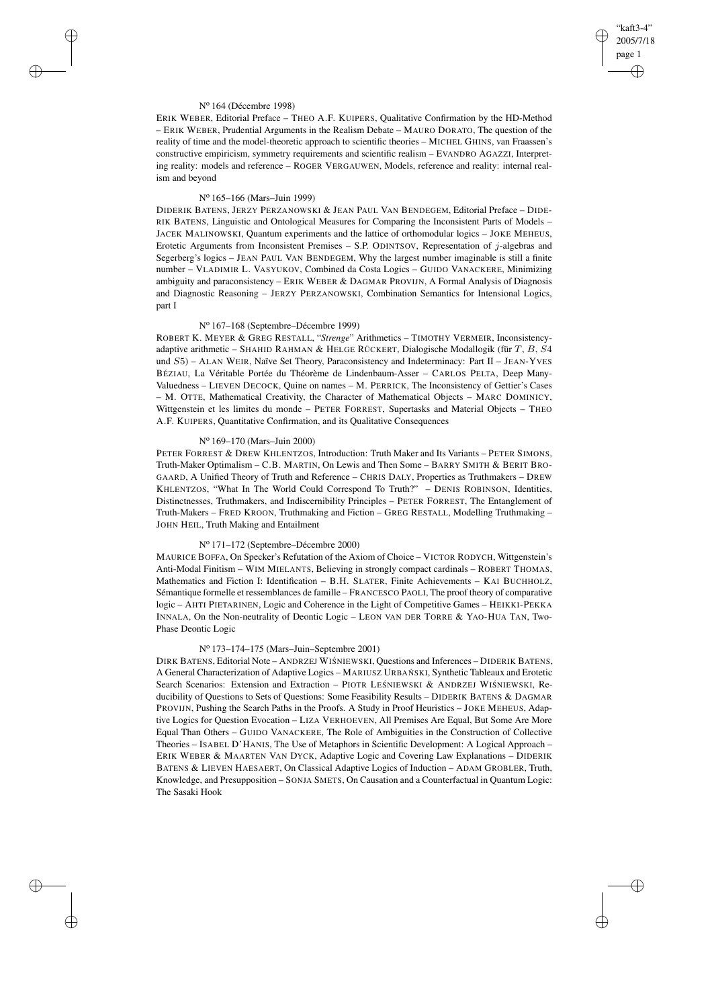# "kaft3-4" 2005/7/18 page 1 ✐ ✐

✐

✐

### N<sup>o</sup> 164 (Décembre 1998)

✐

✐

✐

✐

ERIK WEBER, Editorial Preface – THEO A.F. KUIPERS, Qualitative Confirmation by the HD-Method – ERIK WEBER, Prudential Arguments in the Realism Debate – MAURO DORATO, The question of the reality of time and the model-theoretic approach to scientific theories – MICHEL GHINS, van Fraassen's constructive empiricism, symmetry requirements and scientific realism – EVANDRO AGAZZI, Interpreting reality: models and reference – ROGER VERGAUWEN, Models, reference and reality: internal realism and beyond

#### N<sup>o</sup> 165–166 (Mars–Juin 1999)

DIDERIK BATENS, JERZY PERZANOWSKI & JEAN PAUL VAN BENDEGEM, Editorial Preface – DIDE-RIK BATENS, Linguistic and Ontological Measures for Comparing the Inconsistent Parts of Models – JACEK MALINOWSKI, Quantum experiments and the lattice of orthomodular logics – JOKE MEHEUS, Erotetic Arguments from Inconsistent Premises – S.P. ODINTSOV, Representation of  $i$ -algebras and Segerberg's logics – JEAN PAUL VAN BENDEGEM, Why the largest number imaginable is still a finite number – VLADIMIR L. VASYUKOV, Combined da Costa Logics – GUIDO VANACKERE, Minimizing ambiguity and paraconsistency – ERIK WEBER & DAGMAR PROVIJN, A Formal Analysis of Diagnosis and Diagnostic Reasoning – JERZY PERZANOWSKI, Combination Semantics for Intensional Logics, part I

### N<sup>o</sup> 167–168 (Septembre–Décembre 1999)

ROBERT K. MEYER & GREG RESTALL, "*Strenge*" Arithmetics – TIMOTHY VERMEIR, Inconsistencyadaptive arithmetic – SHAHID RAHMAN & HELGE RÜCKERT, Dialogische Modallogik (für T, B, S4 und S5) – ALAN WEIR, Naïve Set Theory, Paraconsistency and Indeterminacy: Part II – JEAN-YVES BÉZIAU, La Véritable Portée du Théorème de Lindenbaum-Asser – CARLOS PELTA, Deep Many-Valuedness – LIEVEN DECOCK, Quine on names – M. PERRICK, The Inconsistency of Gettier's Cases – M. OTTE, Mathematical Creativity, the Character of Mathematical Objects – MARC DOMINICY, Wittgenstein et les limites du monde – PETER FORREST, Supertasks and Material Objects – THEO A.F. KUIPERS, Quantitative Confirmation, and its Qualitative Consequences

# N<sup>o</sup> 169–170 (Mars–Juin 2000)

PETER FORREST & DREW KHLENTZOS, Introduction: Truth Maker and Its Variants – PETER SIMONS, Truth-Maker Optimalism – C.B. MARTIN, On Lewis and Then Some – BARRY SMITH & BERIT BRO-GAARD, A Unified Theory of Truth and Reference – CHRIS DALY, Properties as Truthmakers – DREW KHLENTZOS, "What In The World Could Correspond To Truth?" – DENIS ROBINSON, Identities, Distinctnesses, Truthmakers, and Indiscernibility Principles – PETER FORREST, The Entanglement of Truth-Makers – FRED KROON, Truthmaking and Fiction – GREG RESTALL, Modelling Truthmaking – JOHN HEIL, Truth Making and Entailment

### N<sup>o</sup> 171–172 (Septembre–Décembre 2000)

MAURICE BOFFA, On Specker's Refutation of the Axiom of Choice – VICTOR RODYCH, Wittgenstein's Anti-Modal Finitism – WIM MIELANTS, Believing in strongly compact cardinals – ROBERT THOMAS, Mathematics and Fiction I: Identification – B.H. SLATER, Finite Achievements – KAI BUCHHOLZ, Sémantique formelle et ressemblances de famille – FRANCESCO PAOLI, The proof theory of comparative logic – AHTI PIETARINEN, Logic and Coherence in the Light of Competitive Games – HEIKKI-PEKKA INNALA, On the Non-neutrality of Deontic Logic – LEON VAN DER TORRE & YAO-HUA TAN, Two-Phase Deontic Logic

# N<sup>o</sup> 173–174–175 (Mars–Juin–Septembre 2001)

DIRK BATENS, Editorial Note - ANDRZEJ WIŚNIEWSKI, Questions and Inferences - DIDERIK BATENS, A General Characterization of Adaptive Logics - MARIUSZ URBAŃSKI, Synthetic Tableaux and Erotetic Search Scenarios: Extension and Extraction - PIOTR LESNIEWSKI & ANDRZEJ WISNIEWSKI, Reducibility of Questions to Sets of Questions: Some Feasibility Results – DIDERIK BATENS & DAGMAR PROVIJN, Pushing the Search Paths in the Proofs. A Study in Proof Heuristics – JOKE MEHEUS, Adaptive Logics for Question Evocation – LIZA VERHOEVEN, All Premises Are Equal, But Some Are More Equal Than Others – GUIDO VANACKERE, The Role of Ambiguities in the Construction of Collective Theories – ISABEL D'HANIS, The Use of Metaphors in Scientific Development: A Logical Approach – ERIK WEBER & MAARTEN VAN DYCK, Adaptive Logic and Covering Law Explanations – DIDERIK BATENS & LIEVEN HAESAERT, On Classical Adaptive Logics of Induction – ADAM GROBLER, Truth, Knowledge, and Presupposition – SONJA SMETS, On Causation and a Counterfactual in Quantum Logic: The Sasaki Hook